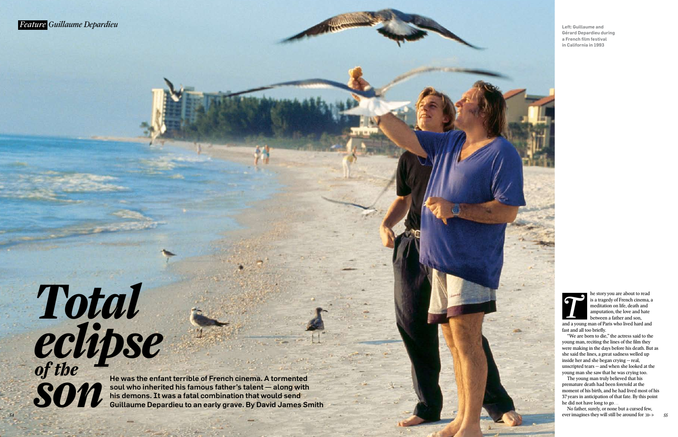*54*

he story you are about to read is a tragedy of French cinema, a meditation on life, death and amputation, the love and hate between a father and son, and a young man of Paris who lived hard and and a young man of Paris who lived hard and and and the *Taris who lived hard and*  $\frac{1}{2}$ 

fast and all too briefly. "We are born to die," the actress said to the young man, reciting the lines of the film they were making in the days before his death. But as she said the lines, a great sadness welled up inside her and she began crying — real, unscripted tears — and when she looked at the young man she saw that he was crying too.

No father, surely, or none but a cursed few, ever imagines they will still be around for  $\mathbb{R}$ 

The young man truly believed that his premature death had been foretold at the moment of his birth, and he had lived most of his 37 years in anticipation of that fate. By this point he did not have long to go…

## *Total eclipse of the son*

He was the enfant terrible of French cinema. A tormented soul who inherited his famous father's talent — along with his demons. It was a fatal combination that would send Guillaume Depardieu to an early grave. By David James Smith



**Left: Guillaume and Gérard Depardieu during a French fi lm festival in California in 1993**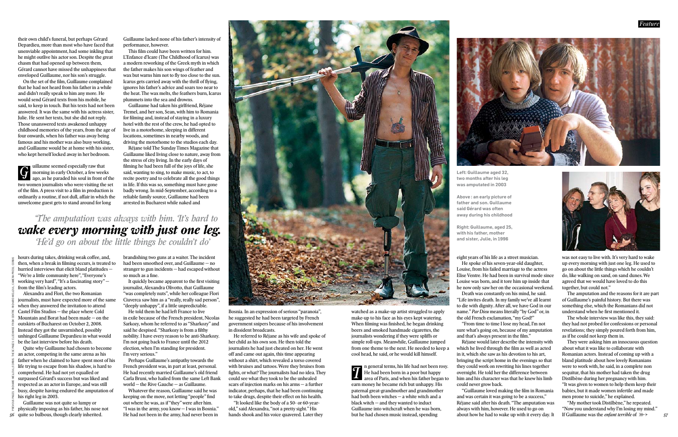their own child's funeral, but perhaps Gérard Depardieu, more than most who have faced that unenviable appointment, had some inkling that he might outlive his actor son. Despite the great chasm that had opened up between them, Gérard cannot have missed the unhappiness that enveloped Guillaume, nor his son's struggle.

On the set of the film, Guillaume complained that he had not heard from his father in a while and didn't really speak to him any more. He would send Gérard texts from his mobile, he said, to keep in touch. But his texts had not been answered. It was the same with his actress sister, Julie. He sent her texts, but she did not reply. Those unanswered texts awakened unhappy childhood memories of the years, from the age of four onwards, when his father was away being famous and his mother was also busy working, and Guillaume would be at home with his sister, who kept herself locked away in her bedroom.

hours during takes, drinking weak coffee, and, then, when a break in filming occurs, is treated to hurried interviews that elicit bland platitudes — "We're a little community here", "Everyone's working very hard", "It's a fascinating story" from the film's leading actors.

uillaume seemed especially raw that diliaume seemed especially raw that<br>morning in early October, a few weeks<br>ago as he paraded his soul in front of the ago, as he paraded his soul in front of the two women journalists who were visiting the set of the film. A press visit to a film in production is ordinarily a routine, if not dull, affair in which the unwelcome guest gets to stand around for long

This film could have been written for him. L'Enfance d'Icare (The Childhood of Icarus) was a modern reworking of the Greek myth in which the father makes his son wings of feather and wax but warns him not to fly too close to the sun. Icarus gets carried away with the thrill of flying, ignores his father's advice and soars too near to the heat. The wax melts, the feathers burn, Icarus plummets into the sea and drowns.

Alexandra and Flori, the two Romanian journalists, must have expected more of the same when they answered the invitation to attend Castel Film Studios — the place where Cold Mountain and Borat had been made — on the outskirts of Bucharest on October 2, 2008. Instead they got the unvarnished, possibly unhinged Guillaume Depardieu in what would be the last interview before his death. Quite why Guillaume had chosen to become

brandishing two guns at a waiter. The incident had been smoothed over, and Guillaume — no stranger to gun incidents — had escaped without so much as a fine.

It quickly became apparent to the first visiting journalist, Alexandra Olivotto, that Guillaume "was completely nuts", while her colleague Flori Ciuverca saw him as a "really, really sad person", "deeply unhappy", if a little unpredictable.

an actor, competing in the same arena as his father when he claimed to have spent most of his life trying to escape from his shadow, is hard to comprehend. He had not yet equalled or surpassed Gérard's success but was liked and respected as an actor in Europe, and was still busy, despite having endured the amputation of his right leg in 2003.

Guillaume lacked none of his father's intensity of performance, however.

Guillaume had taken his girlfriend, Réjane Tremel, and her son, Sean, with him to Romania for filming and, instead of staying in a luxury hotel with the rest of the crew, he had opted to live in a motorhome, sleeping in different locations, sometimes in nearby woods, and driving the motorhome to the studios each day.

> eight years of his life as a street musician. He spoke of his seven-year-old daughter, Louise, from his failed marriage to the actress Elise Ventre. He had been in survival mode since Louise was born, and it tore him up inside that he now only saw her on the occasional weekend. Death was constantly on his mind, he said. "Life invites death. In my family we've all learnt to die with dignity. After all, we have God in our name." *Par Dieu* means literally "by God" or, in the old French exclamation, "my God!" "From time to time I lose my head, I'm not sure what's going on, because of my amputation and that's always present in the film."

Réjane told The Sunday Times Magazine that Guillaume liked living close to nature, away from the stress of city living. In the early days of filming he had been full of the joys of life, she said, wanting to sing, to make music, to act, to recite poetry and to celebrate all the good things in life. If this was so, something must have gone badly wrong. In mid-September, according to a reliable family source, Guillaume had been arrested in Bucharest while naked and

> "Guillaume loved making the film in Romania and was certain it was going to be a success," Réjane said after his death. "The amputation was always with him, however. He used to go on about how he had to wake up with it every day. It



The amputation and the reasons for it are part of Guillaume's painful history. But there was something else, which the Romanians did not understand when he first mentioned it.

He told them he had left France to live in exile because of the French president, Nicolas Sarkozy, whom he referred to as "Sharkozy" and said he despised. "Sharkozy is from a filthy nobility. I have every reason to be anti-Sharkozy. I'm not going back to France until the 2012 election, when I'm standing for president. I'm very serious."

> "My mother took Distilbène," he repeated. "Now you understand why I'm losing my mind." If Guillaume was the *enfant terrible* of  $\ggg$

Perhaps Guillaume's antipathy towards the French president was, in part at least, personal. He had recently married Guillaume's old friend Carla Bruni, who hailed from the same Left Bank world — the Rive Gauche — as Guillaume.

Whatever the reason, Guillaume said he was keeping on the move, not letting "people" find out where he was, as if "they" were after him. "I was in the army, you know — I was in Bosnia." He had not been in the army, had never been in

Bosnia. In an expression of serious "paranoia", he suggested he had been targeted by French government snipers because of his involvement in dissident broadcasts.

He referred to Réjane as his wife and spoke of her child as his own son. He then told the journalists he had just cheated on her. He went off and came out again, this time appearing without a shirt, which revealed a torso covered with bruises and tattoos. Were they bruises from fights, or what? The journalists had no idea. They could see what they took to be the unhealed scars of injection marks on his arms — a further indicator, perhaps, that he had been continuing to take drugs, despite their effect on his health.

"It looked like the body of a 50- or 60-yearold," said Alexandra, "not a pretty sight." His hands shook and his voice quavered. Later they

Guillaume was not quite so lumpy or physically imposing as his father, his nose not quite so bulbous, though clearly inherited. *56* PREVIOUS PAGES: RICHARD MELLOUL/CORBIS. THESE PAGES: CLOCKWISE FROM CENTRE: RICHARD MELLOUL; CAMERA PRESS; CORBIS

watched as a make-up artist struggled to apply make-up to his face as his eyes kept watering. When filming was finished, he began drinking beers and smoked handmade cigarettes, the journalists wondering if they were spliffs or simple roll-ups. Meanwhile, Guillaume jumped from one theme to the next. He needed to keep a cool head, he said, or he would kill himself.

Réjane would later describe the intensity with which he lived through the film as well as acted in it, which she saw as his devotion to his art, bringing the script home in the evenings so that they could work on rewriting his lines together overnight. He told her the difference between him and his character was that he knew his limb could never grow back.

n general terms, his life had not been rosy. He had been born in a poor but happy area of Paris, and when his father began to earn money he became rich but unhappy. His paternal great-grandmother and grandmother had both been witches — a white witch and a black witch — and they wanted to induct Guillaume into witchcraft when he was born, but he had chosen music instead, spending *I*

was not easy to live with. It's very hard to wake up every morning with just one leg. He used to go on about the little things which he couldn't do, like walking on sand, on sand dunes. We agreed that we would have loved to do this together, but could not."

The whole interview was like this, they said: they had not probed for confessions or personal revelations; they simply poured forth from him, as if he could not keep them in.

They were asking him an innocuous question about what it was like to collaborate with Romanian actors. Instead of coming up with a bland platitude about how lovely Romanians were to work with, he said, in a complete non sequitur, that his mother had taken the drug Distilbène during her pregnancy with him. "It was given to women to help them keep their babies, but it made women infertile and made men prone to suicide," he explained.

 *'The amputation was always with him. It's hard to wake every morning with just one leg. He'd go on about the little things he couldn't do'*

**Left: Guillaume aged 32,** 

**two months after his leg was amputated in 2003 Above : an early picture of father and son. Guillaume said Gérard was often away during his childhood**

**Right: Guillaume, aged 25, with his father, mother and sister, Julie, in 1996**

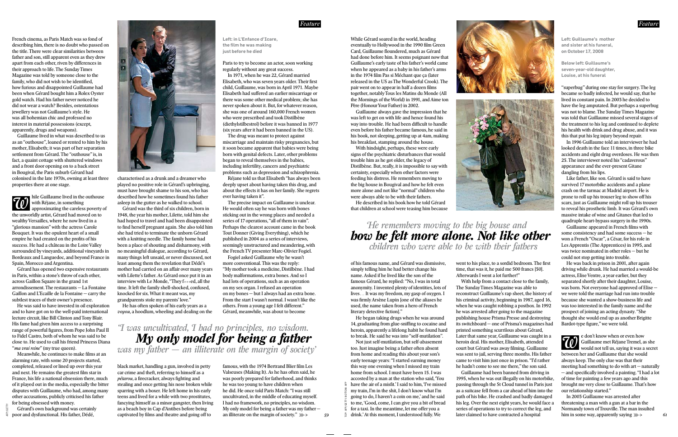*59*

French cinema, as Paris Match was so fond of describing him, there is no doubt who passed on the title. There were clear similarities between father and son, still apparent even as they drew apart from each other, riven by differences in their approach to life. The Sunday Times Magazine was told by someone close to the family, who did not wish to be identified, how furious and disappointed Guillaume had been when Gérard bought him a Rolex Oyster gold watch. Had his father never noticed he did not wear a watch? Besides, ostentatious jewellery was not Guillaume's style. He was all bohemian chic and professed no interest in material possessions (except, apparently, drugs and weapons).

Guillaume lived in what was described to us as an "outhouse", loaned or rented to him by his mother, Elisabeth; it was part of her separation settlement from Gérard. The "outhouse" is, in fact, a quaint cottage with shuttered windows and a front door opening on to a back street in Bougival, the Paris suburb Gérard had colonised in the late 1970s, owning at least three properties there at one stage.

Meanwhile, he continues to make films at an alarming rate, with some 20 projects started, completed, released or lined up over this year and next. He remains the greatest film star in France, his life a national obsession there, much of it played out in the media, especially the bitter disputes with Guillaume, who had, among many other accusations, publicly criticised his father for being obsessed with money.

Bordeaux and Languedoc, and beyond France in Spain, Morocco and Argentina. Gérard has opened two expensive restaurants in Paris, within a stone's throw of each other, across Gaillon Square in the grand 1st arrondissement. The restaurants — La Fontaine Gaillon and L'Ecaille de la Fontaine — carry the

> black market, handling a gun, involved in petty car crime and theft, referring to himself as a *pétarou*, a firecracker, always fighting and stealing and once getting his nose broken while sparring with a boxer. He left home in his early teens and lived for a while with two prostitutes, fancying himself as a minor gangster, then living as a beach boy in Cap d'Antibes before being captivated by films and theatre and going off to

famous, with the 1974 Bertrand Blier film Les Valseuses (Making It). As he has often said, he was poorly prepared for fatherhood, and thinks he was too young to have children when he did. He once told Paris Match: "I was still uncultivated, in the middle of educating myself. I had no framework, no principles, no wisdom. My only model for being a father was my father an illiterate on the margin of society."  $\ggg$ 

subtlest traces of their owner's presence. He was said to have invested in oil exploration and to have got on to the well-paid international lecture circuit, like Bill Clinton and Tony Blair. His fame had given him access to a surprising range of powerful figures, from Pope John Paul II to Fidel Castro, both of whom he was said to be close to. He used to call his friend Princess Diana "*ma vrai reine*" (my true queen).

Gérard's own background was certainly poor and dysfunctional. His father, Dédé,

characterised as a drunk and a dreamer who played no positive role in Gérard's upbringing, must have brought shame to his son, who has described how he sometimes found his father asleep in the gutter as he walked to school.

Gérard was the third of six children, born in 1948, the year his mother, Lilette, told him she had hoped to travel and had been disappointed to find herself pregnant again. She also told him she had tried to terminate the unborn Gérard with a knitting needle. The family home had been a place of shouting and disharmony, with no meaningful dialogue, according to Gérard, many things left unsaid, or never discussed, not least among them the revelation that Dédé's mother had carried on an affair over many years with Lilette's father. As Gérard once put it in an interview with Le Monde, "They f*\*\*\**ed, all the time. It left the family shell-shocked, confused, knocked for six. What it meant was, my grandparents stole my parents' love."

He has often spoken of his early years as a *voyou*, a hoodlum, wheeling and dealing on the



of his famous name, and Gérard was dismissive, simply telling him he had better change his name. Asked if he lived like the son of the famous Gérard, he replied: "No, I was in total anonymity. I invented plenty of identities, lots of lives… It was my freedom, my gasp of oxygen. I was firmly Arsène Lupin [one of the aliases he used, the name taken from a hero of French literary detective fictionl."

Paris to try to become an actor, soon working regularly without any great success.

In 1971, when he was 22, Gérard married Elisabeth, who was seven years older. Their first child, Guillaume, was born in April 1971. Maybe Elisabeth had suffered an earlier miscarriage or there was some other medical problem; she has never spoken about it. But, for whatever reason, she was one of around 160,000 French women who were prescribed and took Distilbène (diethylstilbestrol) before it was banned in 1977 (six years after it had been banned in the US).

> went to his place, to a sordid bedroom. The first time, that was it, he paid me 500 francs [50]. Afterwards I went a lot further!"

The drug was meant to protect against miscarriage and maintain risky pregnancies, but it soon became apparent that babies were being born with genital defects. Later, other problems began to reveal themselves in the babies, including infertility, cancers and psychiatric problems such as depression and schizophrenia.

Réjane told us that Elisabeth "has always been deeply upset about having taken this drug, and about the effects it has on her family. She regrets ever having taken it".

The precise impact on Guillaume is unclear. He would often say he was born with bones sticking out in the wrong places and needed a series of 17 operations, "all of them in vain". Perhaps the clearest account came in the book Tout Donner (Giving Everything), which he published in 2004 as a series of interviews, seemingly unstructured and meandering, with the French TV presenter Marc-Olivier Fogiel.

Fogiel asked Guillaume why he wasn't more conventional. This was the reply: "My mother took a medicine, Distilbène. I had body malformations, extra bones. And so I had lots of operations, such as an operation on my sex organ. I refused an operation on my bones — but I always had an extra bone. From the start I wasn't normal. I wasn't like the others. From a young age I felt different." Gérard, meanwhile, was about to become

Guillaume appeared in French films with some consistency and had some success — he won a French "Oscar", a César, for his role in Les Apprentis (The Apprentices) in 1995, and was twice nominated in other roles — but he could not stop getting into trouble.

He was back in prison in 2001, after again driving while drunk. He had married a would-be actress, Elise Ventre, a year earlier, but they separated shortly after their daughter, Louise, was born. Not everyone had approved of Elise we were told the marriage had run into trouble because she wanted a show-business life and was too interested in the family name and the prospect of joining an acting dynasty. "She thought she would end up as another Brigitte Bardot-type figure," we were told.

In 2003 Guillaume was arrested after threatening a man with a gun at a bar in the Normandy town of Trouville. The man insulted him in some way, apparently saying  $\hbox{\#}\to$ 

**Left: in L'Enfance d'Icare, the fi lm he was making just before he died**

*'I was uncultivated, I had no principles, no wisdom. My only model for being a father was my father — an illiterate on the margin of society'*

AFP/GETTY



*Feature*



Guillaume always gave the impression that he was left to get on with life and hence found his way into trouble. He had been difficult to handle even before his father became famous, he said in his book, not sleeping, getting up at 4am, making his breakfast, stamping around the house.

With hindsight, perhaps, these were early signs of the psychiatric disturbances that would trouble him as he got older, the legacy of Distilbène. But, really, it is impossible to say with certainty, especially when other factors were feeding his distress. He remembers moving to the big house in Bougival and how he felt even more alone and not like "normal" children who were always able to be with their fathers.

He described in his book how he told Gérard that children at school were teasing him because

He began taking drugs when he was around 14, graduating from glue-sniffing to cocaine and heroin, apparently a lifelong habit he found hard to break. He said he was into "self-mutilation".

Not just self-mutilation, but self-abasement too. Just imagine being a father often absent from home and reading this about your son's early teenage years: "I started earning money this way one evening when I missed my train home from school. I must have been 15. I was accosted by a man at the station who said, 'You have the air of a misfit.' I said to him, 'I've missed my train, I'm in the shit, I don't know what I'm going to do, I haven't a coin on me,' and he said to me, 'Good, come, I can give you a bit of bread for a taxi. In the meantime, let me offer you a drink.' At this moment, I understood fully. We

With help from a contact close to the family, The Sunday Times Magazine was able to reconstruct Guillaume's rap sheet, the history of his criminal activity, beginning in 1987, aged 16, when he was caught robbing a postbox. In 1992 he was arrested after going to the magazine publishing house Prisma Presse and destroying its switchboard — one of Prisma's magazines had printed something scurrilous about Gérard, Later that same year, Guillaume was caught in a heroin deal. His mother, Elisabeth, attended court but Gérard was away filming. Guillaume was sent to jail, serving three months. His father came to visit him just once in prison. "I'd rather he hadn't come to see me there," the son said. Guillaume had been banned from driving in 1995, when he was out illegally on his motorbike, passing through the St Cloud tunnel in Paris just as a suitcase fell from a car ahead of him into the path of his bike. He crashed and badly damaged his leg. Over the next eight years, he would face a series of operations to try to correct the leg, and later claimed to have contracted a hospital

"superbug" during one stay for surgery. The leg became so badly infected, he would say, that he lived in constant pain. In 2003 he decided to have the leg amputated. But perhaps a superbug was not to blame. The Sunday Times Magazine was told that Guillaume missed several stages of the treatment to his leg and continued to deplete his health with drink and drug abuse, and it was this that put his leg injury beyond repair.

In 1996 Guillaume told an interviewer he had looked death in the face 11 times, in three bike accidents and eight drug overdoses. He was then 25. The interviewer noted his "cadaverous" appearance and the ever-present Gitane dangling from his lips.

Like father, like son. Gérard is said to have survived 17 motorbike accidents and a plane crash on the tarmac at Madrid airport. He is prone to roll up his trouser leg to show off his scars, just as Guillaume might roll up his trouser to reveal his prosthetic limb. It was Gérard's own massive intake of wine and Gitanes that led to quadruple heart-bypass surgery in the 1990s.

e don't know when or even how Guillaume met Réjane Tremel, as she would not tell us, saying it was a secret between her and Guillaume that she would always keep. The only clue was that their meeting had something to do with art — naturally  $-$  and specifically involved a painting. "I had a lot of time for painting a few years ago and this brought me very close to Guillaume. That's how our relationship started." *W*







**Left: Guillaume's mother and sister at his funeral, on October 17, 2008** 

**Below left: Guillaume's seven-year-old daughter, Louise, at his funeral**

 *He remembers moving to the big house and how he felt more alone. Not like other children who were able to be with their fathers*

TOP: AFP/GETTY. BOTTOM: AFP